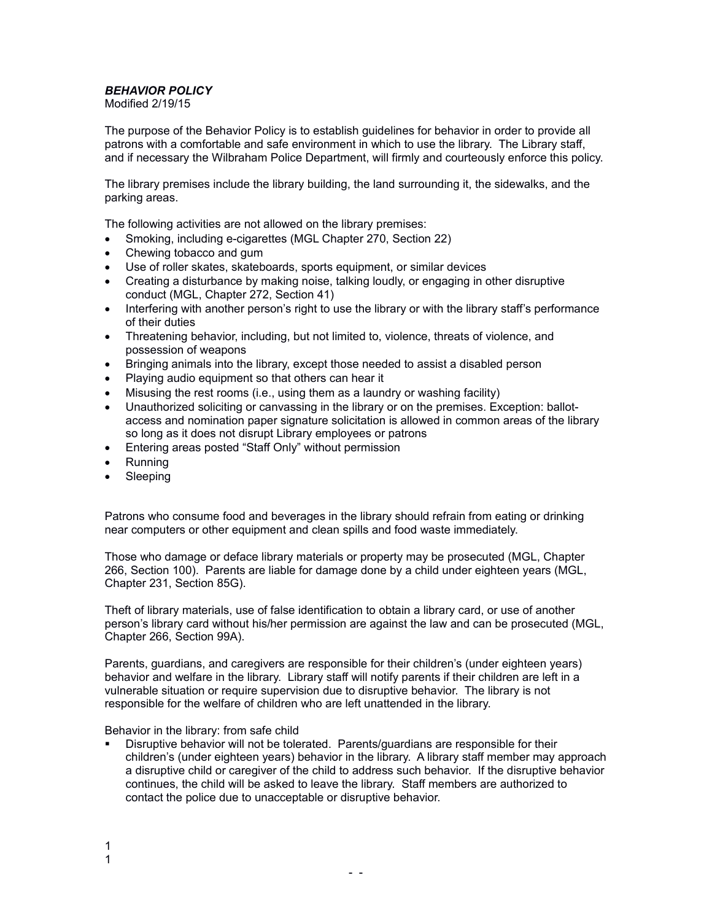## *BEHAVIOR POLICY*

Modified 2/19/15

The purpose of the Behavior Policy is to establish guidelines for behavior in order to provide all patrons with a comfortable and safe environment in which to use the library. The Library staff, and if necessary the Wilbraham Police Department, will firmly and courteously enforce this policy.

The library premises include the library building, the land surrounding it, the sidewalks, and the parking areas.

The following activities are not allowed on the library premises:

- Smoking, including e-cigarettes (MGL Chapter 270, Section 22)
- Chewing tobacco and gum
- Use of roller skates, skateboards, sports equipment, or similar devices
- Creating a disturbance by making noise, talking loudly, or engaging in other disruptive conduct (MGL, Chapter 272, Section 41)
- Interfering with another person's right to use the library or with the library staff's performance of their duties
- Threatening behavior, including, but not limited to, violence, threats of violence, and possession of weapons
- Bringing animals into the library, except those needed to assist a disabled person
- Playing audio equipment so that others can hear it
- Misusing the rest rooms (i.e., using them as a laundry or washing facility)
- Unauthorized soliciting or canvassing in the library or on the premises. Exception: ballotaccess and nomination paper signature solicitation is allowed in common areas of the library so long as it does not disrupt Library employees or patrons
- Entering areas posted "Staff Only" without permission
- Running
- Sleeping

Patrons who consume food and beverages in the library should refrain from eating or drinking near computers or other equipment and clean spills and food waste immediately.

Those who damage or deface library materials or property may be prosecuted (MGL, Chapter 266, Section 100). Parents are liable for damage done by a child under eighteen years (MGL, Chapter 231, Section 85G).

Theft of library materials, use of false identification to obtain a library card, or use of another person's library card without his/her permission are against the law and can be prosecuted (MGL, Chapter 266, Section 99A).

Parents, guardians, and caregivers are responsible for their children's (under eighteen years) behavior and welfare in the library. Library staff will notify parents if their children are left in a vulnerable situation or require supervision due to disruptive behavior. The library is not responsible for the welfare of children who are left unattended in the library.

Behavior in the library: from safe child

 Disruptive behavior will not be tolerated. Parents/guardians are responsible for their children's (under eighteen years) behavior in the library. A library staff member may approach a disruptive child or caregiver of the child to address such behavior. If the disruptive behavior continues, the child will be asked to leave the library. Staff members are authorized to contact the police due to unacceptable or disruptive behavior.

- -